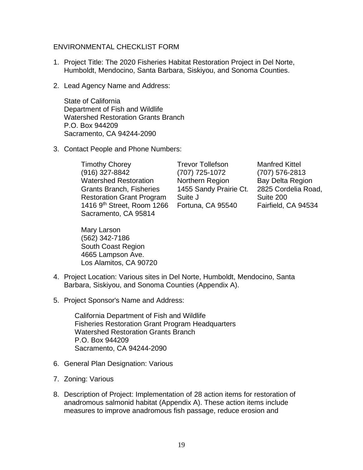## ENVIRONMENTAL CHECKLIST FORM

- 1. Project Title: The 2020 Fisheries Habitat Restoration Project in Del Norte, Humboldt, Mendocino, Santa Barbara, Siskiyou, and Sonoma Counties.
- 2. Lead Agency Name and Address:

State of California Department of Fish and Wildlife Watershed Restoration Grants Branch P.O. Box 944209 Sacramento, CA 94244-2090

3. Contact People and Phone Numbers:

Timothy Chorey (916) 327-8842 Watershed Restoration Grants Branch, Fisheries Restoration Grant Program 1416 9th Street, Room 1266 Sacramento, CA 95814

Mary Larson (562) 342-7186 South Coast Region 4665 Lampson Ave. Los Alamitos, CA 90720

Trevor Tollefson (707) 725-1072 Northern Region 1455 Sandy Prairie Ct. Suite J Fortuna, CA 95540

Manfred Kittel (707) 576-2813 Bay Delta Region 2825 Cordelia Road, Suite 200 Fairfield, CA 94534

- 4. Project Location: Various sites in Del Norte, Humboldt, Mendocino, Santa Barbara, Siskiyou, and Sonoma Counties (Appendix A).
- 5. Project Sponsor's Name and Address:

California Department of Fish and Wildlife Fisheries Restoration Grant Program Headquarters Watershed Restoration Grants Branch P.O. Box 944209 Sacramento, CA 94244-2090

- 6. General Plan Designation: Various
- 7. Zoning: Various
- 8. Description of Project: Implementation of 28 action items for restoration of anadromous salmonid habitat (Appendix A). These action items include measures to improve anadromous fish passage, reduce erosion and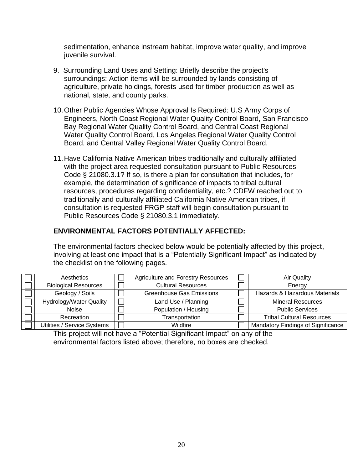sedimentation, enhance instream habitat, improve water quality, and improve juvenile survival.

- 9. Surrounding Land Uses and Setting: Briefly describe the project's surroundings: Action items will be surrounded by lands consisting of agriculture, private holdings, forests used for timber production as well as national, state, and county parks.
- 10.Other Public Agencies Whose Approval Is Required: U.S Army Corps of Engineers, North Coast Regional Water Quality Control Board, San Francisco Bay Regional Water Quality Control Board, and Central Coast Regional Water Quality Control Board, Los Angeles Regional Water Quality Control Board, and Central Valley Regional Water Quality Control Board.
- 11.Have California Native American tribes traditionally and culturally affiliated with the project area requested consultation pursuant to Public Resources Code § 21080.3.1? If so, is there a plan for consultation that includes, for example, the determination of significance of impacts to tribal cultural resources, procedures regarding confidentiality, etc.? CDFW reached out to traditionally and culturally affiliated California Native American tribes, if consultation is requested FRGP staff will begin consultation pursuant to Public Resources Code § 21080.3.1 immediately.

## **ENVIRONMENTAL FACTORS POTENTIALLY AFFECTED:**

The environmental factors checked below would be potentially affected by this project, involving at least one impact that is a "Potentially Significant Impact" as indicated by the checklist on the following pages.

| Aesthetics                     | <b>Agriculture and Forestry Resources</b> | Air Quality                        |
|--------------------------------|-------------------------------------------|------------------------------------|
| <b>Biological Resources</b>    | <b>Cultural Resources</b>                 | Energy                             |
| Geology / Soils                | <b>Greenhouse Gas Emissions</b>           | Hazards & Hazardous Materials      |
| <b>Hydrology/Water Quality</b> | Land Use / Planning                       | <b>Mineral Resources</b>           |
| <b>Noise</b>                   | Population / Housing                      | <b>Public Services</b>             |
| Recreation                     | Transportation                            | <b>Tribal Cultural Resources</b>   |
| Utilities / Service Systems    | <b>Wildfire</b>                           | Mandatory Findings of Significance |

This project will not have a "Potential Significant Impact" on any of the environmental factors listed above; therefore, no boxes are checked.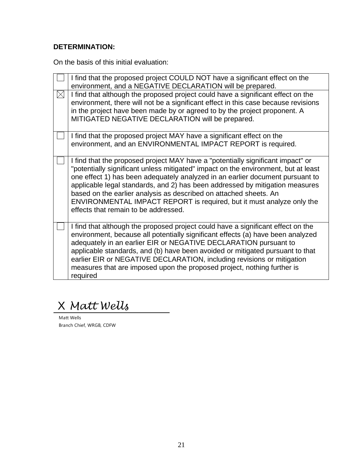## **DETERMINATION:**

On the basis of this initial evaluation:

|             | I find that the proposed project COULD NOT have a significant effect on the<br>environment, and a NEGATIVE DECLARATION will be prepared.                                                                                                                                                                                                                                                                                                                                                                                     |
|-------------|------------------------------------------------------------------------------------------------------------------------------------------------------------------------------------------------------------------------------------------------------------------------------------------------------------------------------------------------------------------------------------------------------------------------------------------------------------------------------------------------------------------------------|
| $\boxtimes$ | I find that although the proposed project could have a significant effect on the<br>environment, there will not be a significant effect in this case because revisions<br>in the project have been made by or agreed to by the project proponent. A<br>MITIGATED NEGATIVE DECLARATION will be prepared.                                                                                                                                                                                                                      |
|             | I find that the proposed project MAY have a significant effect on the<br>environment, and an ENVIRONMENTAL IMPACT REPORT is required.                                                                                                                                                                                                                                                                                                                                                                                        |
|             | I find that the proposed project MAY have a "potentially significant impact" or<br>"potentially significant unless mitigated" impact on the environment, but at least<br>one effect 1) has been adequately analyzed in an earlier document pursuant to<br>applicable legal standards, and 2) has been addressed by mitigation measures<br>based on the earlier analysis as described on attached sheets. An<br>ENVIRONMENTAL IMPACT REPORT is required, but it must analyze only the<br>effects that remain to be addressed. |
|             | I find that although the proposed project could have a significant effect on the<br>environment, because all potentially significant effects (a) have been analyzed<br>adequately in an earlier EIR or NEGATIVE DECLARATION pursuant to<br>applicable standards, and (b) have been avoided or mitigated pursuant to that<br>earlier EIR or NEGATIVE DECLARATION, including revisions or mitigation<br>measures that are imposed upon the proposed project, nothing further is<br>required                                    |
|             |                                                                                                                                                                                                                                                                                                                                                                                                                                                                                                                              |

X Matt Wells

Matt Wells Branch Chief, WRGB, CDFW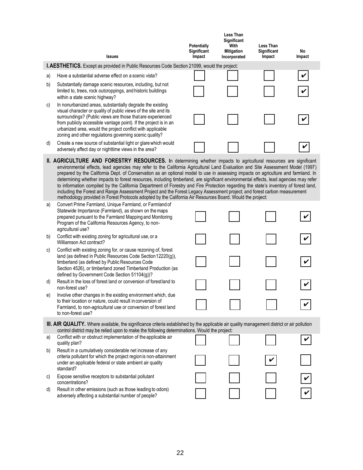|    | <b>Issues</b>                                                                                                                                                                                                                                                                                                                                                                                                                                                                                                                                                                                                                                                                                                                                                                                                                                                                                                       | <b>Potentially</b><br>Significant<br>Impact | <b>Less Than</b><br>Significant<br>With<br><b>Mitigation</b><br>Incorporated | <b>Less Than</b><br><b>Significant</b><br>Impact | No<br>Impact |
|----|---------------------------------------------------------------------------------------------------------------------------------------------------------------------------------------------------------------------------------------------------------------------------------------------------------------------------------------------------------------------------------------------------------------------------------------------------------------------------------------------------------------------------------------------------------------------------------------------------------------------------------------------------------------------------------------------------------------------------------------------------------------------------------------------------------------------------------------------------------------------------------------------------------------------|---------------------------------------------|------------------------------------------------------------------------------|--------------------------------------------------|--------------|
|    | <b>I.AESTHETICS.</b> Except as provided in Public Resources Code Section 21099, would the project:                                                                                                                                                                                                                                                                                                                                                                                                                                                                                                                                                                                                                                                                                                                                                                                                                  |                                             |                                                                              |                                                  |              |
| a) | Have a substantial adverse effect on a scenic vista?                                                                                                                                                                                                                                                                                                                                                                                                                                                                                                                                                                                                                                                                                                                                                                                                                                                                |                                             |                                                                              |                                                  |              |
| b) | Substantially damage scenic resources, including, but not<br>limited to, trees, rock outcroppings, and historic buildings<br>within a state scenic highway?                                                                                                                                                                                                                                                                                                                                                                                                                                                                                                                                                                                                                                                                                                                                                         |                                             |                                                                              |                                                  |              |
| C) | In nonurbanized areas, substantially degrade the existing<br>visual character or quality of public views of the site and its<br>surroundings? (Public views are those that are experienced<br>from publicly accessible vantage point). If the project is in an<br>urbanized area, would the project conflict with applicable<br>zoning and other regulations governing scenic quality?                                                                                                                                                                                                                                                                                                                                                                                                                                                                                                                              |                                             |                                                                              |                                                  |              |
| d) | Create a new source of substantial light or glare which would<br>adversely affect day or nighttime views in the area?                                                                                                                                                                                                                                                                                                                                                                                                                                                                                                                                                                                                                                                                                                                                                                                               |                                             |                                                                              |                                                  | V            |
|    | II. AGRICULTURE AND FORESTRY RESOURCES. In determining whether impacts to agricultural resources are significant<br>environmental effects, lead agencies may refer to the California Agricultural Land Evaluation and Site Assessment Model (1997)<br>prepared by the California Dept. of Conservation as an optional model to use in assessing impacts on agriculture and farmland. In<br>determining whether impacts to forest resources, including timberland, are significant environmental effects, lead agencies may refer<br>to information compiled by the California Department of Forestry and Fire Protection regarding the state's inventory of forest land,<br>including the Forest and Range Assessment Project and the Forest Legacy Assessment project; and forest carbon measurement<br>methodology provided in Forest Protocols adopted by the California Air Resources Board. Would the project: |                                             |                                                                              |                                                  |              |
| a) | Convert Prime Farmland, Unique Farmland, or Farmland of<br>Statewide Importance (Farmland), as shown on the maps<br>prepared pursuant to the Farmland Mapping and Monitoring<br>Program of the California Resources Agency, to non-<br>agricultural use?                                                                                                                                                                                                                                                                                                                                                                                                                                                                                                                                                                                                                                                            |                                             |                                                                              |                                                  |              |
| b) | Conflict with existing zoning for agricultural use, or a<br>Williamson Act contract?                                                                                                                                                                                                                                                                                                                                                                                                                                                                                                                                                                                                                                                                                                                                                                                                                                |                                             |                                                                              |                                                  |              |
| C) | Conflict with existing zoning for, or cause rezoning of, forest<br>land (as defined in Public Resources Code Section 12220(g)),<br>timberland (as defined by Public Resources Code<br>Section 4526), or timberland zoned Timberland Production (as<br>defined by Government Code Section 51104(g))?                                                                                                                                                                                                                                                                                                                                                                                                                                                                                                                                                                                                                 |                                             |                                                                              |                                                  |              |
| d) | Result in the loss of forest land or conversion of forestland to<br>non-forest use?                                                                                                                                                                                                                                                                                                                                                                                                                                                                                                                                                                                                                                                                                                                                                                                                                                 |                                             |                                                                              |                                                  |              |
| e) | Involve other changes in the existing environment which, due<br>to their location or nature, could result in conversion of<br>Farmland, to non-agricultural use or conversion of forest land<br>to non-forest use?                                                                                                                                                                                                                                                                                                                                                                                                                                                                                                                                                                                                                                                                                                  |                                             |                                                                              |                                                  |              |
|    | <b>III. AIR QUALITY.</b> Where available, the significance criteria established by the applicable air quality management district or air pollution<br>control district may be relied upon to make the following determinations. Would the project:                                                                                                                                                                                                                                                                                                                                                                                                                                                                                                                                                                                                                                                                  |                                             |                                                                              |                                                  |              |
| a) | Conflict with or obstruct implementation of the applicable air<br>quality plan?                                                                                                                                                                                                                                                                                                                                                                                                                                                                                                                                                                                                                                                                                                                                                                                                                                     |                                             |                                                                              |                                                  |              |
| b) | Result in a cumulatively considerable net increase of any<br>criteria pollutant for which the project region is non-attainment<br>under an applicable federal or state ambient air quality<br>standard?                                                                                                                                                                                                                                                                                                                                                                                                                                                                                                                                                                                                                                                                                                             |                                             |                                                                              |                                                  |              |
| C) | Expose sensitive receptors to substantial pollutant<br>concentrations?                                                                                                                                                                                                                                                                                                                                                                                                                                                                                                                                                                                                                                                                                                                                                                                                                                              |                                             |                                                                              |                                                  |              |
| d) | Result in other emissions (such as those leading to odors)<br>adversely affecting a substantial number of people?                                                                                                                                                                                                                                                                                                                                                                                                                                                                                                                                                                                                                                                                                                                                                                                                   |                                             |                                                                              |                                                  |              |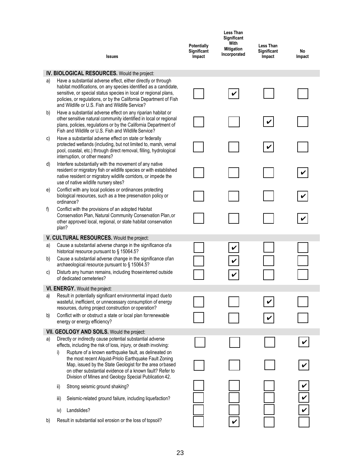|    | <b>Issues</b>                                                                                                                                                                                                                                                                                                                 | Potentially<br>Significant<br>Impact | <b>Less Than</b><br>Significant<br>With<br><b>Mitigation</b><br>Incorporated | Less Than<br>Significant<br>Impact | No<br>Impact |
|----|-------------------------------------------------------------------------------------------------------------------------------------------------------------------------------------------------------------------------------------------------------------------------------------------------------------------------------|--------------------------------------|------------------------------------------------------------------------------|------------------------------------|--------------|
|    | IV. BIOLOGICAL RESOURCES. Would the project:                                                                                                                                                                                                                                                                                  |                                      |                                                                              |                                    |              |
| a) | Have a substantial adverse effect, either directly or through<br>habitat modifications, on any species identified as a candidate,<br>sensitive, or special status species in local or regional plans,<br>policies, or regulations, or by the California Department of Fish<br>and Wildlife or U.S. Fish and Wildlife Service? |                                      |                                                                              |                                    |              |
| b) | Have a substantial adverse effect on any riparian habitat or<br>other sensitive natural community identified in local or regional<br>plans, policies, regulations or by the California Department of<br>Fish and Wildlife or U.S. Fish and Wildlife Service?                                                                  |                                      |                                                                              | V                                  |              |
| C) | Have a substantial adverse effect on state or federally<br>protected wetlands (including, but not limited to, marsh, vernal<br>pool, coastal, etc.) through direct removal, filling, hydrological<br>interruption, or other means?                                                                                            |                                      |                                                                              |                                    |              |
| d) | Interfere substantially with the movement of any native<br>resident or migratory fish or wildlife species or with established<br>native resident or migratory wildlife corridors, or impede the<br>use of native wildlife nursery sites?                                                                                      |                                      |                                                                              |                                    |              |
| e) | Conflict with any local policies or ordinances protecting<br>biological resources, such as a tree preservation policy or<br>ordinance?                                                                                                                                                                                        |                                      |                                                                              |                                    |              |
| f) | Conflict with the provisions of an adopted Habitat<br>Conservation Plan, Natural Community Conservation Plan, or<br>other approved local, regional, or state habitat conservation<br>plan?                                                                                                                                    |                                      |                                                                              |                                    |              |
|    | V. CULTURAL RESOURCES. Would the project:                                                                                                                                                                                                                                                                                     |                                      |                                                                              |                                    |              |
| a) | Cause a substantial adverse change in the significance of a<br>historical resource pursuant to § 15064.5?                                                                                                                                                                                                                     |                                      | V                                                                            |                                    |              |
| b) | Cause a substantial adverse change in the significance of an<br>archaeological resource pursuant to § 15064.5?                                                                                                                                                                                                                |                                      |                                                                              |                                    |              |
| C) | Disturb any human remains, including those interred outside<br>of dedicated cemeteries?                                                                                                                                                                                                                                       |                                      |                                                                              |                                    |              |
|    | VI. ENERGY. Would the project:                                                                                                                                                                                                                                                                                                |                                      |                                                                              |                                    |              |
| a) | Result in potentially significant environmental impact due to<br>wasteful, inefficient, or unnecessary consumption of energy<br>resources, during project construction or operation?                                                                                                                                          |                                      |                                                                              |                                    |              |
| b) | Conflict with or obstruct a state or local plan for renewable<br>energy or energy efficiency?                                                                                                                                                                                                                                 |                                      |                                                                              |                                    |              |
|    | VII. GEOLOGY AND SOILS. Would the project:                                                                                                                                                                                                                                                                                    |                                      |                                                                              |                                    |              |
| a) | Directly or indirectly cause potential substantial adverse<br>effects, including the risk of loss, injury, or death involving:                                                                                                                                                                                                |                                      |                                                                              |                                    |              |
|    | Rupture of a known earthquake fault, as delineated on<br>i)<br>the most recent Alquist-Priolo Earthquake Fault Zoning<br>Map, issued by the State Geologist for the area orbased<br>on other substantial evidence of a known fault? Refer to<br>Division of Mines and Geology Special Publication 42.                         |                                      |                                                                              |                                    |              |
|    | Strong seismic ground shaking?<br>ii)                                                                                                                                                                                                                                                                                         |                                      |                                                                              |                                    |              |
|    | Seismic-related ground failure, including liquefaction?<br>iii)                                                                                                                                                                                                                                                               |                                      |                                                                              |                                    | $\checkmark$ |
|    | Landslides?<br>iv)                                                                                                                                                                                                                                                                                                            |                                      |                                                                              |                                    | V            |
| b) | Result in substantial soil erosion or the loss of topsoil?                                                                                                                                                                                                                                                                    |                                      |                                                                              |                                    |              |

- iv) Landslides?
- b) Result in substantial soil erosion or the loss of topsoil?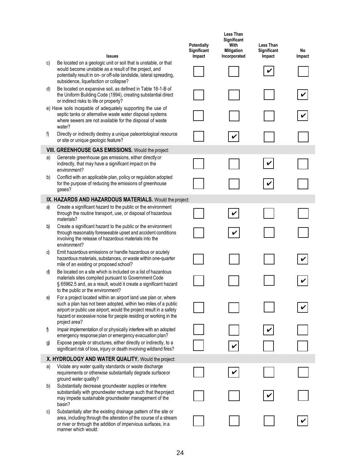|    | <b>Issues</b>                                                                                                                                                                                                                                                               | <b>Potentially</b><br>Significant<br>Impact | <b>Less Than</b><br>Significant<br>With<br><b>Mitigation</b><br>Incorporated | <b>Less Than</b><br>Significant<br>Impact | No<br>Impact |
|----|-----------------------------------------------------------------------------------------------------------------------------------------------------------------------------------------------------------------------------------------------------------------------------|---------------------------------------------|------------------------------------------------------------------------------|-------------------------------------------|--------------|
| c) | Be located on a geologic unit or soil that is unstable, or that<br>would become unstable as a result of the project, and<br>potentially result in on- or off-site landslide, lateral spreading,<br>subsidence, liquefaction or collapse?                                    |                                             |                                                                              |                                           |              |
| d) | Be located on expansive soil, as defined in Table 18-1-B of<br>the Uniform Building Code (1994), creating substantial direct<br>or indirect risks to life or property?                                                                                                      |                                             |                                                                              |                                           |              |
|    | e) Have soils incapable of adequately supporting the use of<br>septic tanks or alternative waste water disposal systems<br>where sewers are not available for the disposal of waste<br>water?                                                                               |                                             |                                                                              |                                           |              |
| f) | Directly or indirectly destroy a unique paleontological resource<br>or site or unique geologic feature?                                                                                                                                                                     |                                             |                                                                              |                                           |              |
|    | VIII. GREENHOUSE GAS EMISSIONS. Would the project:                                                                                                                                                                                                                          |                                             |                                                                              |                                           |              |
| a) | Generate greenhouse gas emissions, either directly or<br>indirectly, that may have a significant impact on the<br>environment?                                                                                                                                              |                                             |                                                                              | V                                         |              |
| b) | Conflict with an applicable plan, policy or regulation adopted<br>for the purpose of reducing the emissions of greenhouse<br>gases?                                                                                                                                         |                                             |                                                                              | V                                         |              |
|    | IX. HAZARDS AND HAZARDOUS MATERIALS. Would the project:                                                                                                                                                                                                                     |                                             |                                                                              |                                           |              |
| a) | Create a significant hazard to the public or the environment<br>through the routine transport, use, or disposal of hazardous<br>materials?                                                                                                                                  |                                             | V                                                                            |                                           |              |
| b) | Create a significant hazard to the public or the environment<br>through reasonably foreseeable upset and accident conditions<br>involving the release of hazardous materials into the<br>environment?                                                                       |                                             |                                                                              |                                           |              |
| c) | Emit hazardous emissions or handle hazardous or acutely<br>hazardous materials, substances, or waste within one-quarter<br>mile of an existing or proposed school?                                                                                                          |                                             |                                                                              |                                           |              |
| d) | Be located on a site which is included on a list of hazardous<br>materials sites compiled pursuant to Government Code<br>§ 65962.5 and, as a result, would it create a significant hazard<br>to the public or the environment?                                              |                                             |                                                                              |                                           |              |
| e) | For a project located within an airport land use plan or, where<br>such a plan has not been adopted, within two miles of a public<br>airport or public use airport, would the project result in a safety<br>hazard or excessive noise for people residing or working in the |                                             |                                                                              |                                           |              |
| f) | project area?<br>Impair implementation of or physically interfere with an adopted<br>emergency response plan or emergency evacuation plan?                                                                                                                                  |                                             |                                                                              |                                           |              |
| g) | Expose people or structures, either directly or indirectly, to a<br>significant risk of loss, injury or death involving wildland fires?                                                                                                                                     |                                             |                                                                              |                                           |              |
|    | X. HYDROLOGY AND WATER QUALITY. Would the project:                                                                                                                                                                                                                          |                                             |                                                                              |                                           |              |
| a) | Violate any water quality standards or waste discharge<br>requirements or otherwise substantially degrade surface or<br>ground water quality?                                                                                                                               |                                             | V                                                                            |                                           |              |
| b) | Substantially decrease groundwater supplies or interfere<br>substantially with groundwater recharge such that the project<br>may impede sustainable groundwater management of the<br>basin?                                                                                 |                                             |                                                                              |                                           |              |
| C) | Substantially alter the existing drainage pattern of the site or<br>area, including through the alteration of the course of a stream<br>or river or through the addition of impervious surfaces, in a<br>manner which would:                                                |                                             |                                                                              |                                           |              |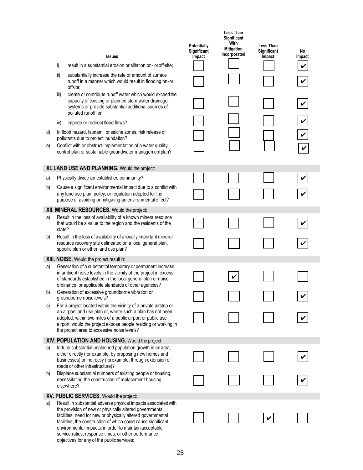|    |        |                                                                                                                                                                                                                                                                                                                                                                             | <b>Potentially</b><br>Significant | <b>Less Than</b><br>Significant<br>With<br><b>Mitigation</b><br>Incorporated | <b>Less Than</b><br>Significant | No     |
|----|--------|-----------------------------------------------------------------------------------------------------------------------------------------------------------------------------------------------------------------------------------------------------------------------------------------------------------------------------------------------------------------------------|-----------------------------------|------------------------------------------------------------------------------|---------------------------------|--------|
|    | i)     | <b>Issues</b><br>result in a substantial erosion or siltation on-or off-site;                                                                                                                                                                                                                                                                                               | Impact                            |                                                                              | Impact                          | Impact |
|    | ii)    | substantially increase the rate or amount of surface<br>runoff in a manner which would result in flooding on-or<br>offsite;                                                                                                                                                                                                                                                 |                                   |                                                                              |                                 |        |
|    | iii)   | create or contribute runoff water which would exceed the<br>capacity of existing or planned stormwater drainage<br>systems or provide substantial additional sources of<br>polluted runoff; or                                                                                                                                                                              |                                   |                                                                              |                                 | V      |
|    | iv)    | impede or redirect flood flows?                                                                                                                                                                                                                                                                                                                                             |                                   |                                                                              |                                 |        |
| d) |        | In flood hazard, tsunami, or seiche zones, risk release of<br>pollutants due to project inundation?                                                                                                                                                                                                                                                                         |                                   |                                                                              |                                 |        |
| e) |        | Conflict with or obstruct implementation of a water quality<br>control plan or sustainable groundwater managementplan?                                                                                                                                                                                                                                                      |                                   |                                                                              |                                 |        |
|    |        | XI. LAND USE AND PLANNING. Would the project:                                                                                                                                                                                                                                                                                                                               |                                   |                                                                              |                                 |        |
| a) |        | Physically divide an established community?                                                                                                                                                                                                                                                                                                                                 |                                   |                                                                              |                                 |        |
| b) |        | Cause a significant environmental impact due to a conflictwith<br>any land use plan, policy, or regulation adopted for the<br>purpose of avoiding or mitigating an environmental effect?                                                                                                                                                                                    |                                   |                                                                              |                                 |        |
|    |        | XII. MINERAL RESOURCES. Would the project:                                                                                                                                                                                                                                                                                                                                  |                                   |                                                                              |                                 |        |
| a) | state? | Result in the loss of availability of a known mineral resource<br>that would be a value to the region and the residents of the                                                                                                                                                                                                                                              |                                   |                                                                              |                                 |        |
| b) |        | Result in the loss of availability of a locally important mineral<br>resource recovery site delineated on a local general plan,<br>specific plan or other land use plan?                                                                                                                                                                                                    |                                   |                                                                              |                                 |        |
|    |        | XIII. NOISE. Would the project resultin:                                                                                                                                                                                                                                                                                                                                    |                                   |                                                                              |                                 |        |
| a) |        | Generation of a substantial temporary or permanent increase<br>in ambient noise levels in the vicinity of the project in excess<br>of standards established in the local general plan or noise<br>ordinance, or applicable standards of other agencies?                                                                                                                     |                                   |                                                                              |                                 |        |
| b) |        | Generation of excessive groundborne vibration or<br>groundborne noise levels?                                                                                                                                                                                                                                                                                               |                                   |                                                                              |                                 |        |
| C) |        | For a project located within the vicinity of a private airstrip or<br>an airport land use plan or, where such a plan has not been<br>adopted, within two miles of a public airport or public use<br>airport, would the project expose people residing or working in<br>the project area to excessive noise levels?                                                          |                                   |                                                                              |                                 |        |
|    |        | XIV. POPULATION AND HOUSING. Would the project:                                                                                                                                                                                                                                                                                                                             |                                   |                                                                              |                                 |        |
| a) |        | Induce substantial unplanned population growth in an area,<br>either directly (for example, by proposing new homes and<br>businesses) or indirectly (forexample, through extension of<br>roads or other infrastructure)?                                                                                                                                                    |                                   |                                                                              |                                 |        |
| b) |        | Displace substantial numbers of existing people or housing,<br>necessitating the construction of replacement housing<br>elsewhere?                                                                                                                                                                                                                                          |                                   |                                                                              |                                 |        |
|    |        | XV. PUBLIC SERVICES. Would the project:                                                                                                                                                                                                                                                                                                                                     |                                   |                                                                              |                                 |        |
| a) |        | Result in substantial adverse physical impacts associated with<br>the provision of new or physically altered governmental<br>facilities, need for new or physically altered governmental<br>facilities, the construction of which could cause significant<br>environmental impacts, in order to maintain acceptable<br>service ratios, response times, or other performance |                                   |                                                                              |                                 |        |

objectives for any of the public services: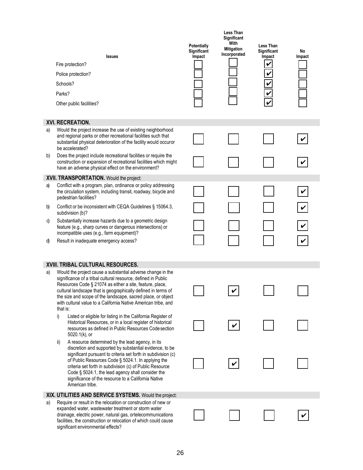|    | <b>Issues</b><br>Fire protection?<br>Police protection?<br>Schools?<br>Parks?<br>Other public facilities?                                                                                                                                                                                                                                                                                                                            | <b>Potentially</b><br>Significant<br>Impact | <b>Less Than</b><br>Significant<br>With<br><b>Mitigation</b><br>Incorporated | <b>Less Than</b><br>Significant<br>Impact | No<br>Impact |
|----|--------------------------------------------------------------------------------------------------------------------------------------------------------------------------------------------------------------------------------------------------------------------------------------------------------------------------------------------------------------------------------------------------------------------------------------|---------------------------------------------|------------------------------------------------------------------------------|-------------------------------------------|--------------|
|    | XVI. RECREATION.                                                                                                                                                                                                                                                                                                                                                                                                                     |                                             |                                                                              |                                           |              |
| a) | Would the project increase the use of existing neighborhood<br>and regional parks or other recreational facilities such that<br>substantial physical deterioration of the facility would occuror<br>be accelerated?                                                                                                                                                                                                                  |                                             |                                                                              |                                           |              |
| b) | Does the project include recreational facilities or require the<br>construction or expansion of recreational facilities which might<br>have an adverse physical effect on the environment?                                                                                                                                                                                                                                           |                                             |                                                                              |                                           |              |
|    | XVII. TRANSPORTATION. Would the project:                                                                                                                                                                                                                                                                                                                                                                                             |                                             |                                                                              |                                           |              |
| a) | Conflict with a program, plan, ordinance or policy addressing<br>the circulation system, including transit, roadway, bicycle and<br>pedestrian facilities?                                                                                                                                                                                                                                                                           |                                             |                                                                              |                                           |              |
| b) | Conflict or be inconsistent with CEQA Guidelines § 15064.3,<br>subdivision (b)?                                                                                                                                                                                                                                                                                                                                                      |                                             |                                                                              |                                           |              |
| C) | Substantially increase hazards due to a geometric design<br>feature (e.g., sharp curves or dangerous intersections) or<br>incompatible uses (e.g., farm equipment)?                                                                                                                                                                                                                                                                  |                                             |                                                                              |                                           |              |
| d) | Result in inadequate emergency access?                                                                                                                                                                                                                                                                                                                                                                                               |                                             |                                                                              |                                           |              |
|    | XVIII. TRIBAL CULTURAL RESOURCES.                                                                                                                                                                                                                                                                                                                                                                                                    |                                             |                                                                              |                                           |              |
| a) | Would the project cause a substantial adverse change in the<br>significance of a tribal cultural resource, defined in Public<br>Resources Code § 21074 as either a site, feature, place,<br>cultural landscape that is geographically defined in terms of<br>the size and scope of the landscape, sacred place, or object<br>with cultural value to a California Native American tribe, and<br>that is:                              |                                             |                                                                              |                                           |              |
|    | Listed or eligible for listing in the California Register of<br>i)<br>Historical Resources, or in a local register of historical<br>resources as defined in Public Resources Code section<br>5020.1(k), or                                                                                                                                                                                                                           |                                             |                                                                              |                                           |              |
|    | A resource determined by the lead agency, in its<br>ii)<br>discretion and supported by substantial evidence, to be<br>significant pursuant to criteria set forth in subdivision (c)<br>of Public Resources Code § 5024.1. In applying the<br>criteria set forth in subdivision (c) of Public Resource<br>Code § 5024.1, the lead agency shall consider the<br>significance of the resource to a California Native<br>American tribe. |                                             |                                                                              |                                           |              |
|    | XIX. UTILITIES AND SERVICE SYSTEMS. Would the project:                                                                                                                                                                                                                                                                                                                                                                               |                                             |                                                                              |                                           |              |
| a) | Require or result in the relocation or construction of new or<br>expanded water, wastewater treatment or storm water<br>drainage, electric power, natural gas, ortelecommunications<br>facilities, the construction or relocation of which could cause<br>significant environmental effects?                                                                                                                                         |                                             |                                                                              |                                           |              |